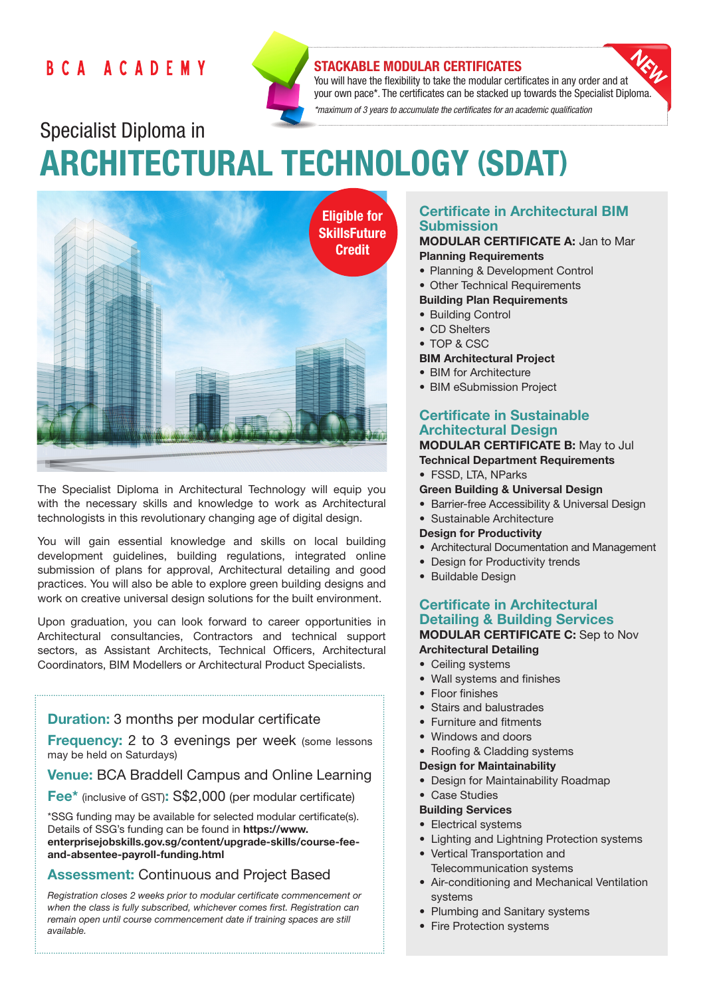# BCA ACADEMY



# STACKABLE MODULAR CERTIFICATES

You will have the flexibility to take the modular certificates in any order and at your own pace\*. The certificates can be stacked up towards the Specialist Diploma. *\*maximum of 3 years to accumulate the certificates for an academic qualification* 

Specialist Diploma in ARCHITECTURAL TECHNOLOGY (SDAT)



The Specialist Diploma in Architectural Technology will equip you with the necessary skills and knowledge to work as Architectural technologists in this revolutionary changing age of digital design.

You will gain essential knowledge and skills on local building development guidelines, building regulations, integrated online submission of plans for approval, Architectural detailing and good practices. You will also be able to explore green building designs and work on creative universal design solutions for the built environment.

Upon graduation, you can look forward to career opportunities in Architectural consultancies, Contractors and technical support sectors, as Assistant Architects, Technical Officers, Architectural Coordinators, BIM Modellers or Architectural Product Specialists.

# **Duration:** 3 months per modular certificate

**Frequency:** 2 to 3 evenings per week (some lessons) may be held on Saturdays)

Venue: BCA Braddell Campus and Online Learning

Fee\* (inclusive of GST): S\$2,000 (per modular certificate)

\*SSG funding may be available for selected modular certificate(s). Details of SSG's funding can be found in https://www. enterprisejobskills.gov.sg/content/upgrade-skills/course-feeand-absentee-payroll-funding.html

# Assessment: Continuous and Project Based

*Registration closes 2 weeks prior to modular certificate commencement or when the class is fully subscribed, whichever comes first. Registration can remain open until course commencement date if training spaces are still available.*

# Certificate in Architectural BIM Submission

#### MODULAR CERTIFICATE A: Jan to Mar Planning Requirements

- Planning & Development Control
- Other Technical Requirements

# Building Plan Requirements

- Building Control
- CD Shelters
- TOP & CSC

#### BIM Architectural Project

- BIM for Architecture
- BIM eSubmission Project

# Certificate in Sustainable Architectural Design

# MODULAR CERTIFICATE B: May to Jul

- Technical Department Requirements
- FSSD, LTA, NParks
- Green Building & Universal Design
- Barrier-free Accessibility & Universal Design
- Sustainable Architecture

## Design for Productivity

- Architectural Documentation and Management
- Design for Productivity trends
- Buildable Design

### Certificate in Architectural Detailing & Building Services MODULAR CERTIFICATE C: Sep to Nov Architectural Detailing

- Ceiling systems
- Wall systems and finishes
- Floor finishes
- Stairs and balustrades
- Furniture and fitments
- Windows and doors
- Roofing & Cladding systems

## Design for Maintainability

- Design for Maintainability Roadmap
- Case Studies

#### Building Services

- Electrical systems
- Lighting and Lightning Protection systems
- Vertical Transportation and Telecommunication systems
- Air-conditioning and Mechanical Ventilation systems
- Plumbing and Sanitary systems
- Fire Protection systems